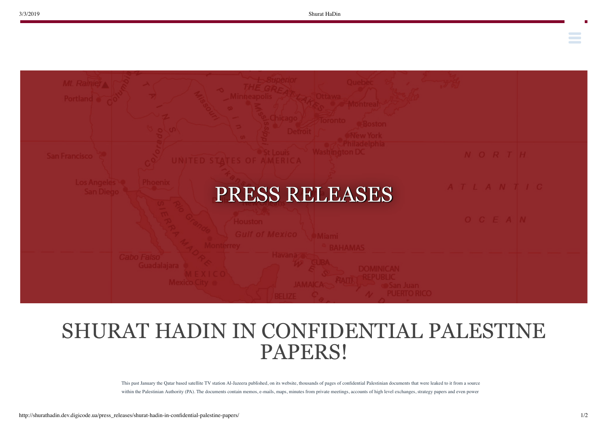**Contract Contract** 



## SHURAT HADIN IN CONFIDENTIAL PALESTINE PAPERS!

This past January the Qatar based satellite TV station Al-Jazeera published, on its website, thousands of pages of confidential Palestinian documents that were leaked to it from a source within the Palestinian Authority (PA). The documents contain memos, e-mails, maps, minutes from private meetings, accounts of high level exchanges, strategy papers and even power